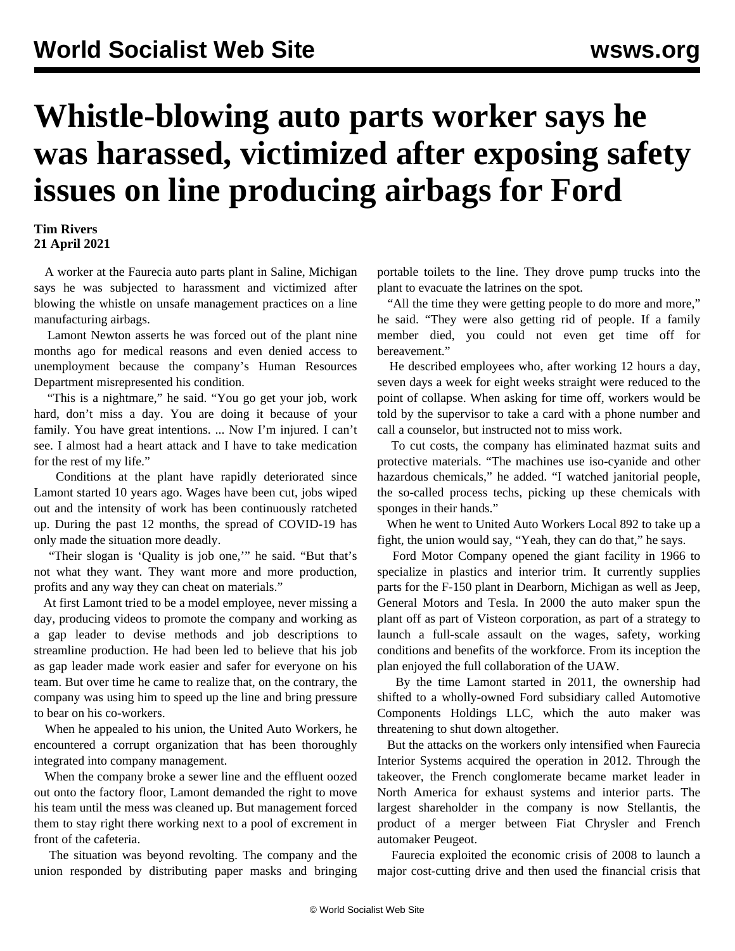## **Whistle-blowing auto parts worker says he was harassed, victimized after exposing safety issues on line producing airbags for Ford**

## **Tim Rivers 21 April 2021**

 A worker at the Faurecia auto parts plant in Saline, Michigan says he was subjected to harassment and victimized after blowing the whistle on unsafe management practices on a line manufacturing airbags.

 Lamont Newton asserts he was forced out of the plant nine months ago for medical reasons and even denied access to unemployment because the company's Human Resources Department misrepresented his condition.

 "This is a nightmare," he said. "You go get your job, work hard, don't miss a day. You are doing it because of your family. You have great intentions. ... Now I'm injured. I can't see. I almost had a heart attack and I have to take medication for the rest of my life."

 Conditions at the plant have rapidly deteriorated since Lamont started 10 years ago. Wages have been cut, jobs wiped out and the intensity of work has been continuously ratcheted up. During the past 12 months, the spread of COVID-19 has only made the situation more deadly.

 "Their slogan is 'Quality is job one,'" he said. "But that's not what they want. They want more and more production, profits and any way they can cheat on materials."

 At first Lamont tried to be a model employee, never missing a day, producing videos to promote the company and working as a gap leader to devise methods and job descriptions to streamline production. He had been led to believe that his job as gap leader made work easier and safer for everyone on his team. But over time he came to realize that, on the contrary, the company was using him to speed up the line and bring pressure to bear on his co-workers.

 When he appealed to his union, the United Auto Workers, he encountered a corrupt organization that has been thoroughly integrated into company management.

 When the company broke a sewer line and the effluent oozed out onto the factory floor, Lamont demanded the right to move his team until the mess was cleaned up. But management forced them to stay right there working next to a pool of excrement in front of the cafeteria.

 The situation was beyond revolting. The company and the union responded by distributing paper masks and bringing portable toilets to the line. They drove pump trucks into the plant to evacuate the latrines on the spot.

 "All the time they were getting people to do more and more," he said. "They were also getting rid of people. If a family member died, you could not even get time off for bereavement."

 He described employees who, after working 12 hours a day, seven days a week for eight weeks straight were reduced to the point of collapse. When asking for time off, workers would be told by the supervisor to take a card with a phone number and call a counselor, but instructed not to miss work.

 To cut costs, the company has eliminated hazmat suits and protective materials. "The machines use iso-cyanide and other hazardous chemicals," he added. "I watched janitorial people, the so-called process techs, picking up these chemicals with sponges in their hands."

 When he went to United Auto Workers Local 892 to take up a fight, the union would say, "Yeah, they can do that," he says.

 Ford Motor Company opened the giant facility in 1966 to specialize in plastics and interior trim. It currently supplies parts for the F-150 plant in Dearborn, Michigan as well as Jeep, General Motors and Tesla. In 2000 the auto maker spun the plant off as part of Visteon corporation, as part of a strategy to launch a full-scale assault on the wages, safety, working conditions and benefits of the workforce. From its inception the plan enjoyed the full collaboration of the UAW.

 By the time Lamont started in 2011, the ownership had shifted to a wholly-owned Ford subsidiary called Automotive Components Holdings LLC, which the auto maker was threatening to shut down altogether.

 But the attacks on the workers only intensified when Faurecia Interior Systems acquired the operation in 2012. Through the takeover, the French conglomerate became market leader in North America for exhaust systems and interior parts. The largest shareholder in the company is now Stellantis, the product of a merger between Fiat Chrysler and French automaker Peugeot.

 Faurecia exploited the economic crisis of 2008 to launch a major cost-cutting drive and then used the financial crisis that